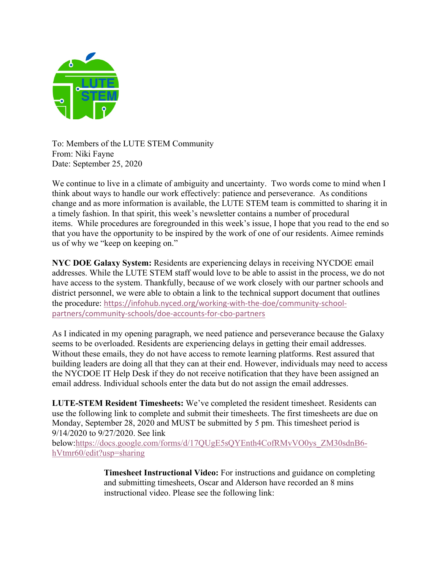

To: Members of the LUTE STEM Community From: Niki Fayne Date: September 25, 2020

We continue to live in a climate of ambiguity and uncertainty. Two words come to mind when I think about ways to handle our work effectively: patience and perseverance. As conditions change and as more information is available, the LUTE STEM team is committed to sharing it in a timely fashion. In that spirit, this week's newsletter contains a number of procedural items. While procedures are foregrounded in this week's issue, I hope that you read to the end so that you have the opportunity to be inspired by the work of one of our residents. Aimee reminds us of why we "keep on keeping on."

**NYC DOE Galaxy System:** Residents are experiencing delays in receiving NYCDOE email addresses. While the LUTE STEM staff would love to be able to assist in the process, we do not have access to the system. Thankfully, because of we work closely with our partner schools and district personnel, we were able to obtain a link to the technical support document that outlines the procedure: https://infohub.nyced.org/working-with-the-doe/community-schoolpartners/community-schools/doe-accounts-for-cbo-partners

As I indicated in my opening paragraph, we need patience and perseverance because the Galaxy seems to be overloaded. Residents are experiencing delays in getting their email addresses. Without these emails, they do not have access to remote learning platforms. Rest assured that building leaders are doing all that they can at their end. However, individuals may need to access the NYCDOE IT Help Desk if they do not receive notification that they have been assigned an email address. Individual schools enter the data but do not assign the email addresses.

**LUTE-STEM Resident Timesheets:** We've completed the resident timesheet. Residents can use the following link to complete and submit their timesheets. The first timesheets are due on Monday, September 28, 2020 and MUST be submitted by 5 pm. This timesheet period is 9/14/2020 to 9/27/2020. See link

below:https://docs.google.com/forms/d/17QUgE5sQYEnth4CofRMvVO0ys\_ZM30sdnB6 hVtmr60/edit?usp=sharing

> **Timesheet Instructional Video:** For instructions and guidance on completing and submitting timesheets, Oscar and Alderson have recorded an 8 mins instructional video. Please see the following link: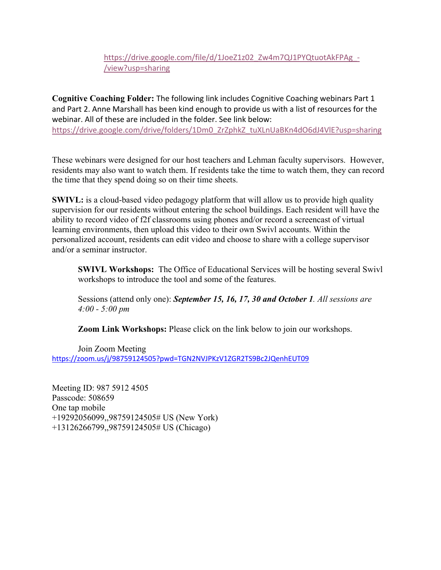## https://drive.google.com/file/d/1JoeZ1z02\_Zw4m7QJ1PYQtuotAkFPAg\_-/view?usp=sharing

**Cognitive Coaching Folder:** The following link includes Cognitive Coaching webinars Part 1 and Part 2. Anne Marshall has been kind enough to provide us with a list of resources for the webinar. All of these are included in the folder. See link below: https://drive.google.com/drive/folders/1Dm0\_ZrZphkZ\_tuXLnUaBKn4dO6dJ4VlE?usp=sharing

These webinars were designed for our host teachers and Lehman faculty supervisors. However, residents may also want to watch them. If residents take the time to watch them, they can record the time that they spend doing so on their time sheets.

**SWIVL:** is a cloud-based video pedagogy platform that will allow us to provide high quality supervision for our residents without entering the school buildings. Each resident will have the ability to record video of f2f classrooms using phones and/or record a screencast of virtual learning environments, then upload this video to their own Swivl accounts. Within the personalized account, residents can edit video and choose to share with a college supervisor and/or a seminar instructor.

**SWIVL Workshops:** The Office of Educational Services will be hosting several Swivl workshops to introduce the tool and some of the features.

Sessions (attend only one): *September 15, 16, 17, 30 and October 1. All sessions are 4:00 - 5:00 pm*

**Zoom Link Workshops:** Please click on the link below to join our workshops.

Join Zoom Meeting https://zoom.us/j/98759124505?pwd=TGN2NVJPKzV1ZGR2TS9Bc2JQenhEUT09

Meeting ID: 987 5912 4505 Passcode: 508659 One tap mobile +19292056099,,98759124505# US (New York) +13126266799,,98759124505# US (Chicago)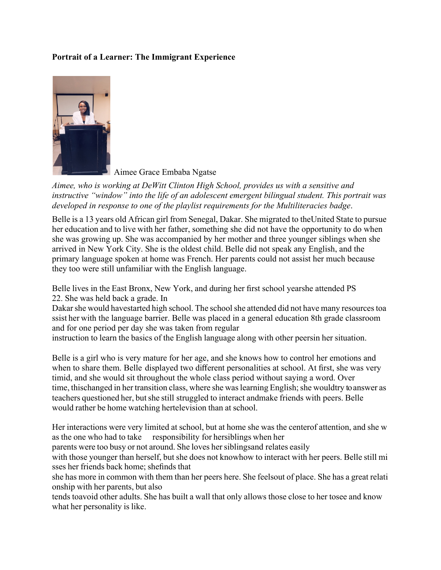## **Portrait of a Learner: The Immigrant Experience**



Aimee Grace Embaba Ngatse

*Aimee, who is working at DeWitt Clinton High School, provides us with a sensitive and instructive "window" into the life of an adolescent emergent bilingual student. This portrait was developed in response to one of the playlist requirements for the Multiliteracies badge*.

Belle is a 13 years old African girl from Senegal, Dakar. She migrated to theUnited State to pursue her education and to live with her father, something she did not have the opportunity to do when she was growing up. She was accompanied by her mother and three younger siblings when she arrived in New York City. She is the oldest child. Belle did not speak any English, and the primary language spoken at home was French. Her parents could not assist her much because they too were still unfamiliar with the English language.

Belle lives in the East Bronx, New York, and during her first school yearshe attended PS 22. She was held back a grade. In

Dakar she would havestarted high school. The school she attended did not have many resources toa ssist her with the language barrier. Belle was placed in a general education 8th grade classroom and for one period per day she was taken from regular

instruction to learn the basics of the English language along with other peersin her situation.

Belle is a girl who is very mature for her age, and she knows how to control her emotions and when to share them. Belle displayed two different personalities at school. At first, she was very timid, and she would sit throughout the whole class period without saying a word. Over time, thischanged in her transition class, where she was learning English; she wouldtry to answer as teachers questioned her, butshe still struggled to interact andmake friends with peers. Belle would rather be home watching hertelevision than at school.

Her interactions were very limited at school, but at home she was the centerof attention, and she w as the one who had to take responsibility for hersiblings when her

parents were too busy or not around. She loves her siblingsand relates easily

with those younger than herself, but she does not knowhow to interact with her peers. Belle still mi sses her friends back home; shefinds that

she has more in common with them than her peers here. She feelsout of place. She has a great relati onship with her parents, but also

tends toavoid other adults. She has built a wall that only allows those close to her tosee and know what her personality is like.